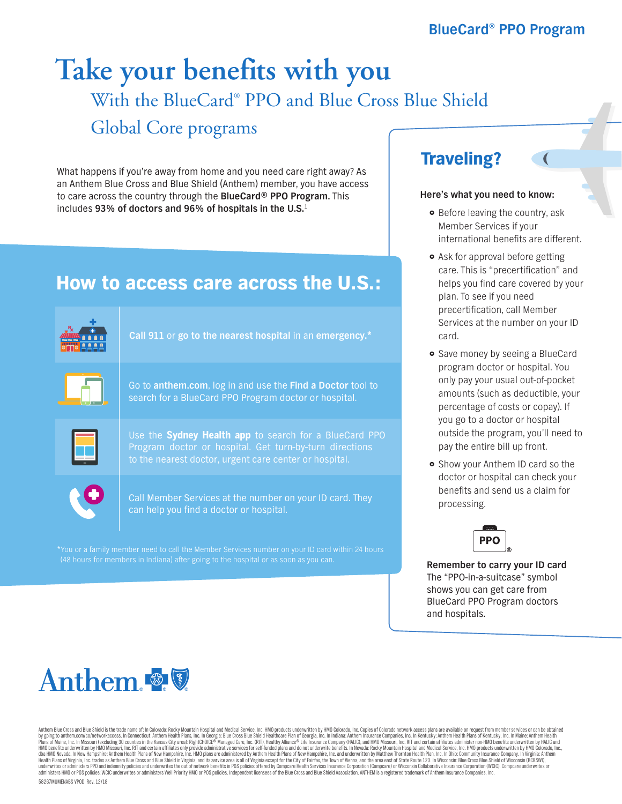# With the BlueCard® PPO and Blue Cross Blue Shield Global Core programs **Take your benefits with you**

What happens if you're away from home and you need care right away? As an Anthem Blue Cross and Blue Shield (Anthem) member, you have access to care across the country through the **BlueCard® PPO Program.** This includes **93% of doctors and 96% of hospitals in the U.S.**<sup>1</sup>

## How to access care across the U.S.:



\*You or a family member need to call the Member Services number on your ID card within 24 hours (48 hours for members in Indiana) after going to the hospital or as soon as you can. **Remember to carry your ID card** 

### Traveling?

#### **Here's what you need to know:**

- Before leaving the country, ask Member Services if your international benefits are different.
- Ask for approval before getting care. This is "precertification" and helps you find care covered by your plan. To see if you need precertification, call Member Services at the number on your ID card.
- **•** Save money by seeing a BlueCard program doctor or hospital. You only pay your usual out-of-pocket amounts (such as deductible, your percentage of costs or copay). If you go to a doctor or hospital outside the program, you'll need to pay the entire bill up front.
- **•** Show your Anthem ID card so the doctor or hospital can check your benefits and send us a claim for processing.



The "PPO-in-a-suitcase" symbol shows you can get care from BlueCard PPO Program doctors and hospitals.



Anthem Blue Cross and Blue Shield is the trade name of: In Colorado: Rocky Mountain Hospital and Medical Service, Inc. HMO products underwritten by HMO Colorado, Inc. Copies of Colorado network access plans are available o by going to anthem.com/co/networkaccess. In Connecticut: Anthem Health Plans, Inc. In Georgia: Blue Cross Blue Shield Healthcare Plan of Georgia, inc. In Indiana: Anthem Insurance Companies, Inc. In Kentucky, Anthem Health Health Plans of Virginia, Inc. trades as Anthem Blue Cross and Blue Shield in Virginia, and its service area is all of Virginia except for the City of Fairfax, the Town of Vienna, and the area esst of State Route 123. In W

58267MUMENABS VPOD Rev. 12/18